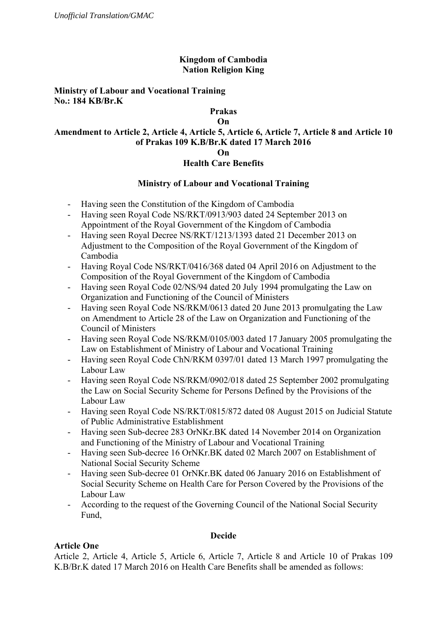## **Kingdom of Cambodia Nation Religion King**

## **Ministry of Labour and Vocational Training No.: 184 KB/Br.K**

# **Prakas**

#### **On**

#### **Amendment to Article 2, Article 4, Article 5, Article 6, Article 7, Article 8 and Article 10 of Prakas 109 K.B/Br.K dated 17 March 2016 On**

## **Health Care Benefits**

## **Ministry of Labour and Vocational Training**

- Having seen the Constitution of the Kingdom of Cambodia
- Having seen Royal Code NS/RKT/0913/903 dated 24 September 2013 on Appointment of the Royal Government of the Kingdom of Cambodia
- Having seen Royal Decree NS/RKT/1213/1393 dated 21 December 2013 on Adjustment to the Composition of the Royal Government of the Kingdom of Cambodia
- Having Royal Code NS/RKT/0416/368 dated 04 April 2016 on Adjustment to the Composition of the Royal Government of the Kingdom of Cambodia
- Having seen Royal Code 02/NS/94 dated 20 July 1994 promulgating the Law on Organization and Functioning of the Council of Ministers
- Having seen Royal Code NS/RKM/0613 dated 20 June 2013 promulgating the Law on Amendment to Article 28 of the Law on Organization and Functioning of the Council of Ministers
- Having seen Royal Code NS/RKM/0105/003 dated 17 January 2005 promulgating the Law on Establishment of Ministry of Labour and Vocational Training
- Having seen Royal Code ChN/RKM 0397/01 dated 13 March 1997 promulgating the Labour Law
- Having seen Royal Code NS/RKM/0902/018 dated 25 September 2002 promulgating the Law on Social Security Scheme for Persons Defined by the Provisions of the Labour Law
- Having seen Royal Code NS/RKT/0815/872 dated 08 August 2015 on Judicial Statute of Public Administrative Establishment
- Having seen Sub-decree 283 OrNKr.BK dated 14 November 2014 on Organization and Functioning of the Ministry of Labour and Vocational Training
- Having seen Sub-decree 16 OrNKr.BK dated 02 March 2007 on Establishment of National Social Security Scheme
- Having seen Sub-decree 01 OrNKr.BK dated 06 January 2016 on Establishment of Social Security Scheme on Health Care for Person Covered by the Provisions of the Labour Law
- According to the request of the Governing Council of the National Social Security Fund,

## **Decide**

## **Article One**

Article 2, Article 4, Article 5, Article 6, Article 7, Article 8 and Article 10 of Prakas 109 K.B/Br.K dated 17 March 2016 on Health Care Benefits shall be amended as follows: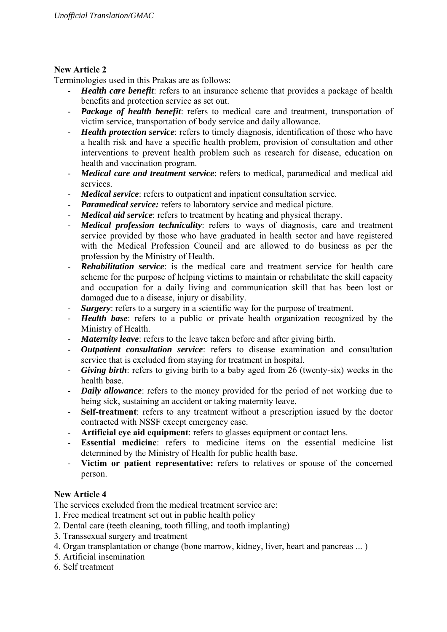## **New Article 2**

Terminologies used in this Prakas are as follows:

- *Health care benefit*: refers to an insurance scheme that provides a package of health benefits and protection service as set out.
- *Package of health benefit*: refers to medical care and treatment, transportation of victim service, transportation of body service and daily allowance.
- *Health protection service*: refers to timely diagnosis, identification of those who have a health risk and have a specific health problem, provision of consultation and other interventions to prevent health problem such as research for disease, education on health and vaccination program.
- *Medical care and treatment service*: refers to medical, paramedical and medical aid services.
- *Medical service*: refers to outpatient and inpatient consultation service.
- *Paramedical service:* refers to laboratory service and medical picture.
- *Medical aid service*: refers to treatment by heating and physical therapy.
- *Medical profession technicality*: refers to ways of diagnosis, care and treatment service provided by those who have graduated in health sector and have registered with the Medical Profession Council and are allowed to do business as per the profession by the Ministry of Health.
- *Rehabilitation service*: is the medical care and treatment service for health care scheme for the purpose of helping victims to maintain or rehabilitate the skill capacity and occupation for a daily living and communication skill that has been lost or damaged due to a disease, injury or disability.
- *Surgery*: refers to a surgery in a scientific way for the purpose of treatment.
- *Health base*: refers to a public or private health organization recognized by the Ministry of Health.
- *Maternity leave*: refers to the leave taken before and after giving birth.
- *Outpatient consultation service*: refers to disease examination and consultation service that is excluded from staying for treatment in hospital.
- Giving birth: refers to giving birth to a baby aged from 26 (twenty-six) weeks in the health base.
- *Daily allowance*: refers to the money provided for the period of not working due to being sick, sustaining an accident or taking maternity leave.
- **Self-treatment**: refers to any treatment without a prescription issued by the doctor contracted with NSSF except emergency case.
- **Artificial eye aid equipment**: refers to glasses equipment or contact lens.<br>- **Essential medicine**: refers to medicine items on the essential m
- **Essential medicine**: refers to medicine items on the essential medicine list determined by the Ministry of Health for public health base.
- **Victim or patient representative:** refers to relatives or spouse of the concerned person.

# **New Article 4**

The services excluded from the medical treatment service are:

- 1. Free medical treatment set out in public health policy
- 2. Dental care (teeth cleaning, tooth filling, and tooth implanting)
- 3. Transsexual surgery and treatment
- 4. Organ transplantation or change (bone marrow, kidney, liver, heart and pancreas ... )
- 5. Artificial insemination
- 6. Self treatment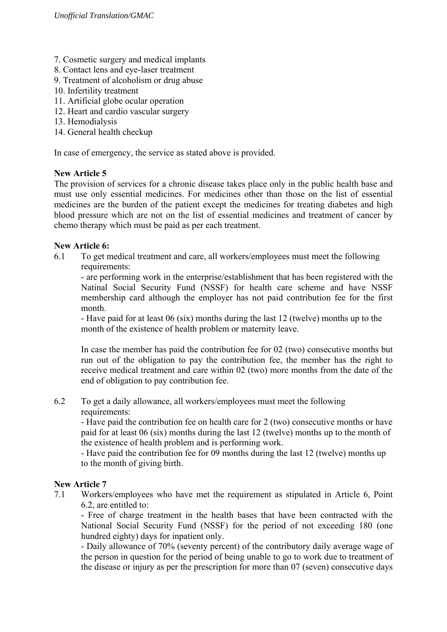- 7. Cosmetic surgery and medical implants
- 8. Contact lens and eye-laser treatment
- 9. Treatment of alcoholism or drug abuse
- 10. Infertility treatment
- 11. Artificial globe ocular operation
- 12. Heart and cardio vascular surgery
- 13. Hemodialysis
- 14. General health checkup

In case of emergency, the service as stated above is provided.

#### **New Article 5**

The provision of services for a chronic disease takes place only in the public health base and must use only essential medicines. For medicines other than those on the list of essential medicines are the burden of the patient except the medicines for treating diabetes and high blood pressure which are not on the list of essential medicines and treatment of cancer by chemo therapy which must be paid as per each treatment.

#### **New Article 6:**

6.1 To get medical treatment and care, all workers/employees must meet the following requirements:

- are performing work in the enterprise/establishment that has been registered with the Natinal Social Security Fund (NSSF) for health care scheme and have NSSF membership card although the employer has not paid contribution fee for the first month.

- Have paid for at least 06 (six) months during the last 12 (twelve) months up to the month of the existence of health problem or maternity leave.

In case the member has paid the contribution fee for 02 (two) consecutive months but run out of the obligation to pay the contribution fee, the member has the right to receive medical treatment and care within 02 (two) more months from the date of the end of obligation to pay contribution fee.

## 6.2 To get a daily allowance, all workers/employees must meet the following requirements:

- Have paid the contribution fee on health care for 2 (two) consecutive months or have paid for at least 06 (six) months during the last 12 (twelve) months up to the month of the existence of health problem and is performing work.

- Have paid the contribution fee for 09 months during the last 12 (twelve) months up to the month of giving birth.

## **New Article 7**

7.1 Workers/employees who have met the requirement as stipulated in Article 6, Point 6.2, are entitled to:

- Free of charge treatment in the health bases that have been contracted with the National Social Security Fund (NSSF) for the period of not exceeding 180 (one hundred eighty) days for inpatient only.

- Daily allowance of 70% (seventy percent) of the contributory daily average wage of the person in question for the period of being unable to go to work due to treatment of the disease or injury as per the prescription for more than 07 (seven) consecutive days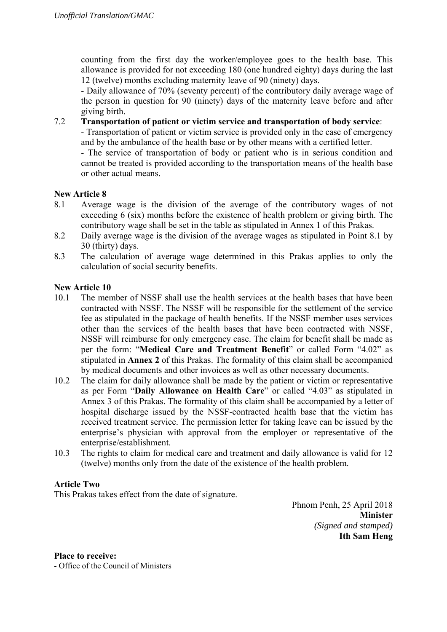counting from the first day the worker/employee goes to the health base. This allowance is provided for not exceeding 180 (one hundred eighty) days during the last 12 (twelve) months excluding maternity leave of 90 (ninety) days.

- Daily allowance of 70% (seventy percent) of the contributory daily average wage of the person in question for 90 (ninety) days of the maternity leave before and after giving birth.

7.2 **Transportation of patient or victim service and transportation of body service**:

- Transportation of patient or victim service is provided only in the case of emergency and by the ambulance of the health base or by other means with a certified letter.

- The service of transportation of body or patient who is in serious condition and cannot be treated is provided according to the transportation means of the health base or other actual means.

#### **New Article 8**

- 8.1 Average wage is the division of the average of the contributory wages of not exceeding 6 (six) months before the existence of health problem or giving birth. The contributory wage shall be set in the table as stipulated in Annex 1 of this Prakas.
- 8.2 Daily average wage is the division of the average wages as stipulated in Point 8.1 by 30 (thirty) days.
- 8.3 The calculation of average wage determined in this Prakas applies to only the calculation of social security benefits.

## **New Article 10**

- 10.1 The member of NSSF shall use the health services at the health bases that have been contracted with NSSF. The NSSF will be responsible for the settlement of the service fee as stipulated in the package of health benefits. If the NSSF member uses services other than the services of the health bases that have been contracted with NSSF, NSSF will reimburse for only emergency case. The claim for benefit shall be made as per the form: "**Medical Care and Treatment Benefit**" or called Form "4.02" as stipulated in **Annex 2** of this Prakas. The formality of this claim shall be accompanied by medical documents and other invoices as well as other necessary documents.
- 10.2 The claim for daily allowance shall be made by the patient or victim or representative as per Form "**Daily Allowance on Health Care**" or called "4.03" as stipulated in Annex 3 of this Prakas. The formality of this claim shall be accompanied by a letter of hospital discharge issued by the NSSF-contracted health base that the victim has received treatment service. The permission letter for taking leave can be issued by the enterprise's physician with approval from the employer or representative of the enterprise/establishment.
- 10.3 The rights to claim for medical care and treatment and daily allowance is valid for 12 (twelve) months only from the date of the existence of the health problem.

## **Article Two**

This Prakas takes effect from the date of signature.

Phnom Penh, 25 April 2018 **Minister**  *(Signed and stamped)*  **Ith Sam Heng** 

**Place to receive:**  - Office of the Council of Ministers